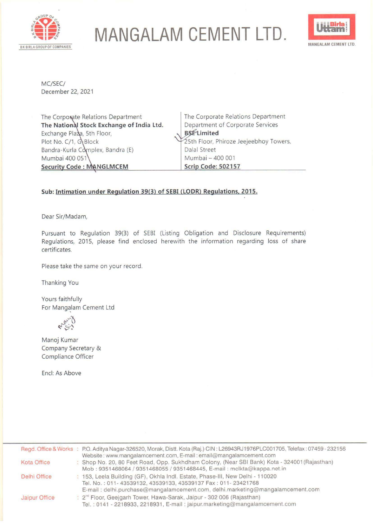

## **MANGALAM CEMENT LTD.** Uttains



MC/SEC/ December 22, 2021

The Corporate Relations Department **The National Stock Exchange of India Ltd.** Exchange Pla $\lambda$ a, 5th Floor, Plot No.  $C/1$ ,  $G$ Block Bandra-Kurla Complex, Bandra (E) Mumbai 400 051 **Security Code : MANGLMCEM** 

The Corporate Relations Department Department of Corporate Services **Limited**  5th Floor, Phiroze Jeejeebhoy Towers, Dalal Street Mumbai - 400 001 **Scrip Code: 502157** 

## **Sub: Intimation under Regulation 39(3) of SEBI (LODR) Regulations. 2015.**

Dear Sir/Madam,

Pursuant to Regulation 39(3) of SEBI (Listing Obligation and Disclosure Requirements) Regulations, 2015, please find enclosed herewith the information regarding loss of share certificates.

Please take the same on your record.

Thanking You

Yours faithfully For Mangalam Cement Ltd

**4-00-4** 

Manoj Kumar Company Secretary & Compliance Officer

Encl: As Above

|                      | Regd. Office & Works : P.O. Aditya Nagar-326520, Morak, Distt. Kota (Raj.) CIN: L26943RJ1976PLC001705, Telefax: 07459-232156<br>Website: www.mangalamcement.com, E-mail: email@mangalamcement.com                              |
|----------------------|--------------------------------------------------------------------------------------------------------------------------------------------------------------------------------------------------------------------------------|
| Kota Office          | : Shop No. 20, 80 Feet Road, Opp. Sukhdham Colony, (Near SBI Bank) Kota - 324001 (Rajasthan)<br>Mob: 9351468064 / 9351468055 / 9351468445, E-mail: mclkta@kappa.net.in                                                         |
| Delhi Office         | : 153, Leela Building (GF), Okhla Indl. Estate, Phase-III, New Delhi - 110020<br>Tel. No.: 011-43539132, 43539133, 43539137 Fax: 011-23421768<br>E-mail: delhi.purchase@mangalamcement.com, delhi.marketing@mangalamcement.com |
| <b>Jaipur Office</b> | : 2 <sup>nd</sup> Floor, Geejgarh Tower, Hawa-Sarak, Jaipur - 302 006 (Rajasthan)<br>Tel.: 0141 - 2218933, 2218931, E-mail: jaipur.marketing@mangalamcement.com                                                                |